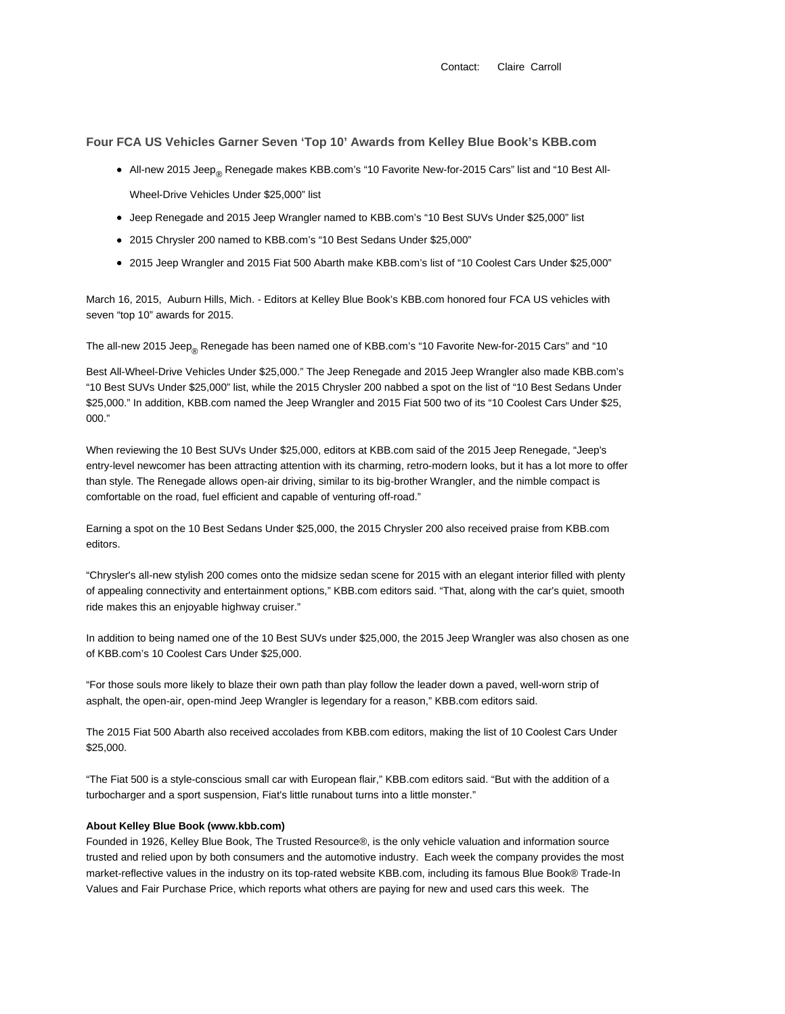**Four FCA US Vehicles Garner Seven 'Top 10' Awards from Kelley Blue Book's KBB.com**

- All-new 2015 Jeep<sub>®</sub> Renegade makes KBB.com's "10 Favorite New-for-2015 Cars" list and "10 Best All-Wheel-Drive Vehicles Under \$25,000" list
- Jeep Renegade and 2015 Jeep Wrangler named to KBB.com's "10 Best SUVs Under \$25,000" list
- 2015 Chrysler 200 named to KBB.com's "10 Best Sedans Under \$25,000"
- 2015 Jeep Wrangler and 2015 Fiat 500 Abarth make KBB.com's list of "10 Coolest Cars Under \$25,000"

March 16, 2015, Auburn Hills, Mich. - Editors at Kelley Blue Book's KBB.com honored four FCA US vehicles with seven "top 10" awards for 2015.

The all-new 2015 Jeep<sub>®</sub> Renegade has been named one of KBB.com's "10 Favorite New-for-2015 Cars" and "10

Best All-Wheel-Drive Vehicles Under \$25,000." The Jeep Renegade and 2015 Jeep Wrangler also made KBB.com's "10 Best SUVs Under \$25,000" list, while the 2015 Chrysler 200 nabbed a spot on the list of "10 Best Sedans Under \$25,000." In addition, KBB.com named the Jeep Wrangler and 2015 Fiat 500 two of its "10 Coolest Cars Under \$25, 000."

When reviewing the 10 Best SUVs Under \$25,000, editors at KBB.com said of the 2015 Jeep Renegade, "Jeep's entry-level newcomer has been attracting attention with its charming, retro-modern looks, but it has a lot more to offer than style. The Renegade allows open-air driving, similar to its big-brother Wrangler, and the nimble compact is comfortable on the road, fuel efficient and capable of venturing off-road."

Earning a spot on the 10 Best Sedans Under \$25,000, the 2015 Chrysler 200 also received praise from KBB.com editors.

"Chrysler's all-new stylish 200 comes onto the midsize sedan scene for 2015 with an elegant interior filled with plenty of appealing connectivity and entertainment options," KBB.com editors said. "That, along with the car's quiet, smooth ride makes this an enjoyable highway cruiser."

In addition to being named one of the 10 Best SUVs under \$25,000, the 2015 Jeep Wrangler was also chosen as one of KBB.com's 10 Coolest Cars Under \$25,000.

"For those souls more likely to blaze their own path than play follow the leader down a paved, well-worn strip of asphalt, the open-air, open-mind Jeep Wrangler is legendary for a reason," KBB.com editors said.

The 2015 Fiat 500 Abarth also received accolades from KBB.com editors, making the list of 10 Coolest Cars Under \$25,000.

"The Fiat 500 is a style-conscious small car with European flair," KBB.com editors said. "But with the addition of a turbocharger and a sport suspension, Fiat's little runabout turns into a little monster."

## **About Kelley Blue Book (www.kbb.com)**

Founded in 1926, Kelley Blue Book, The Trusted Resource®, is the only vehicle valuation and information source trusted and relied upon by both consumers and the automotive industry. Each week the company provides the most market-reflective values in the industry on its top-rated website KBB.com, including its famous Blue Book® Trade-In Values and Fair Purchase Price, which reports what others are paying for new and used cars this week. The